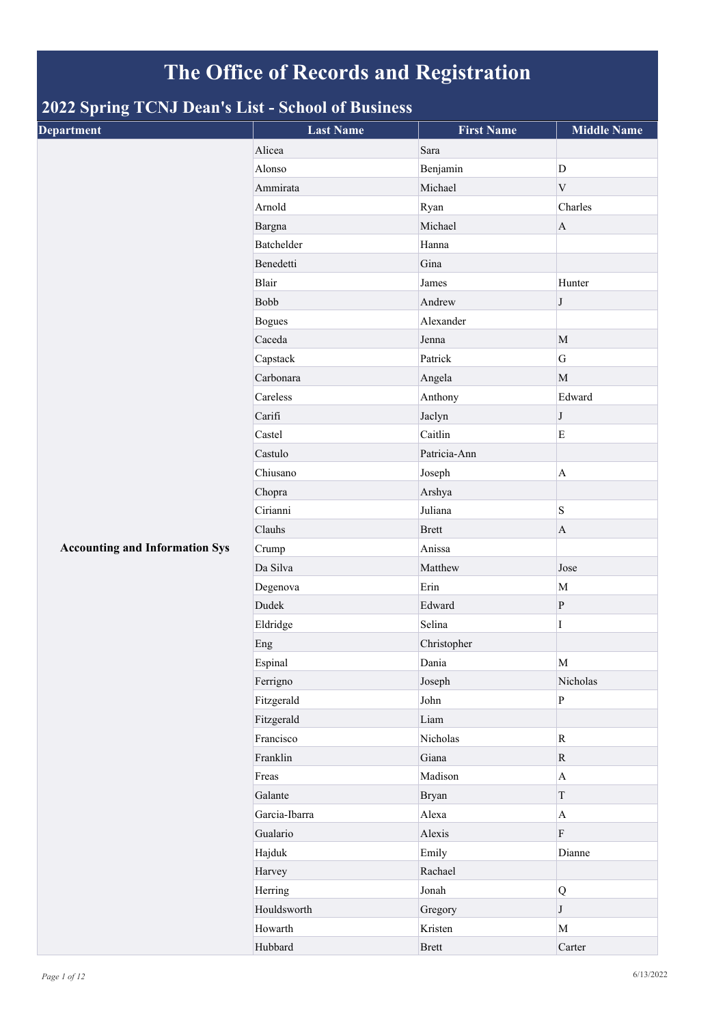## **The Office of Records and Registration**

## **2022 Spring TCNJ Dean's List - School of Business**

| . .<br>$\tilde{\phantom{a}}$<br><b>Department</b> | <b>Last Name</b> | <b>First Name</b> | <b>Middle Name</b> |
|---------------------------------------------------|------------------|-------------------|--------------------|
|                                                   | Alicea           | Sara              |                    |
|                                                   | Alonso           | Benjamin          | D                  |
|                                                   | Ammirata         | Michael           | $\mathbf V$        |
|                                                   | Arnold           | Ryan              | Charles            |
|                                                   | Bargna           | Michael           | $\mathbf{A}$       |
|                                                   | Batchelder       | Hanna             |                    |
|                                                   | Benedetti        | Gina              |                    |
|                                                   | Blair            | James             | Hunter             |
|                                                   | Bobb             | Andrew            | $\bf J$            |
|                                                   | <b>Bogues</b>    | Alexander         |                    |
|                                                   | Caceda           | Jenna             | $\mathbf{M}$       |
|                                                   | Capstack         | Patrick           | G                  |
|                                                   | Carbonara        | Angela            | M                  |
|                                                   | Careless         | Anthony           | Edward             |
|                                                   | Carifi           | Jaclyn            | $\bf J$            |
|                                                   | Castel           | Caitlin           | ${\bf E}$          |
|                                                   | Castulo          | Patricia-Ann      |                    |
|                                                   | Chiusano         | Joseph            | $\mathbf{A}$       |
|                                                   | Chopra           | Arshya            |                    |
|                                                   | Cirianni         | Juliana           | $\, {\bf S}$       |
|                                                   | Clauhs           | <b>Brett</b>      | $\mathbf{A}$       |
| <b>Accounting and Information Sys</b>             | Crump            | Anissa            |                    |
|                                                   | Da Silva         | Matthew           | Jose               |
|                                                   | Degenova         | Erin              | M                  |
|                                                   | Dudek            | Edward            | $\, {\bf P}$       |
|                                                   | Eldridge         | Selina            | $\mathbf I$        |
|                                                   | Eng              | Christopher       |                    |
|                                                   | Espinal          | Dania             | $\mathbf M$        |
|                                                   | Ferrigno         | Joseph            | Nicholas           |
|                                                   | Fitzgerald       | John              | $\, {\bf p}$       |
|                                                   | Fitzgerald       | Liam              |                    |
|                                                   | Francisco        | Nicholas          | ${\bf R}$          |
|                                                   | Franklin         | Giana             | $\mathbf R$        |
|                                                   | Freas            | Madison           | $\mathbf{A}$       |
|                                                   | Galante          | Bryan             | $\mathbf T$        |
|                                                   | Garcia-Ibarra    | Alexa             | $\mathbf{A}$       |
|                                                   | Gualario         | Alexis            | ${\bf F}$          |
|                                                   | Hajduk           | Emily             | Dianne             |
|                                                   | Harvey           | Rachael           |                    |
|                                                   | Herring          | Jonah             | $\mathbf Q$        |
|                                                   | Houldsworth      | Gregory           | $\bf J$            |
|                                                   | Howarth          | Kristen           | M                  |
|                                                   | Hubbard          | <b>Brett</b>      | Carter             |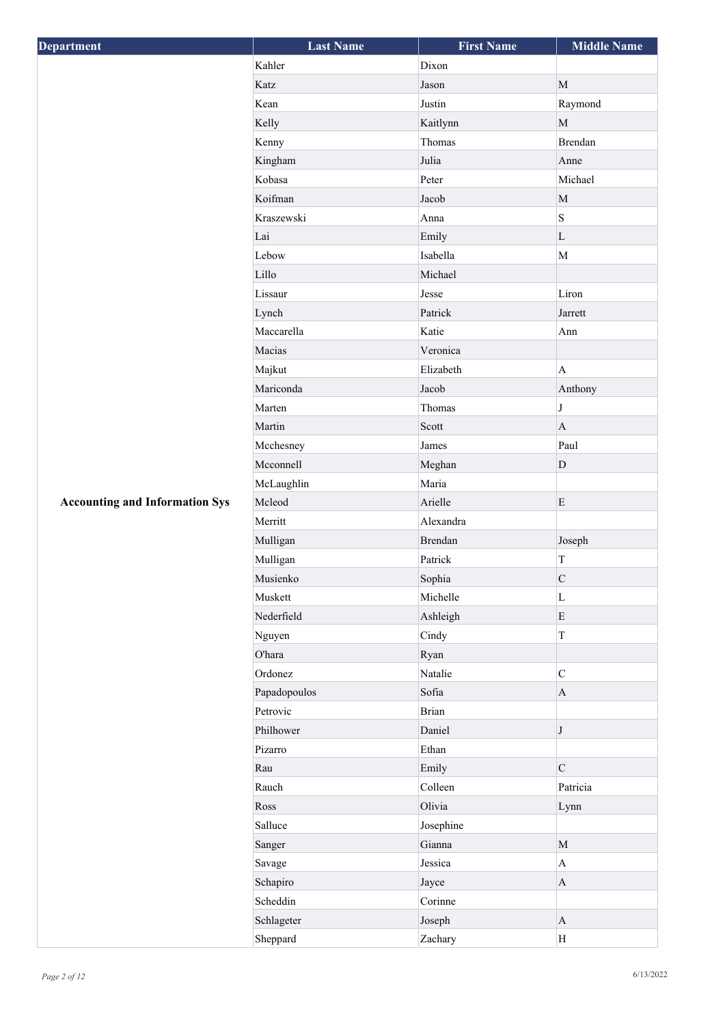| Department                            | <b>Last Name</b> | <b>First Name</b> | <b>Middle Name</b>        |
|---------------------------------------|------------------|-------------------|---------------------------|
|                                       | Kahler           | Dixon             |                           |
|                                       | Katz             | Jason             | $\mathbf{M}$              |
|                                       | Kean             | Justin            | Raymond                   |
|                                       | Kelly            | Kaitlynn          | $\mathbf M$               |
|                                       | Kenny            | Thomas            | <b>Brendan</b>            |
|                                       | Kingham          | Julia             | Anne                      |
|                                       | Kobasa           | Peter             | Michael                   |
|                                       | Koifman          | Jacob             | $\mathbf M$               |
|                                       | Kraszewski       | Anna              | S                         |
|                                       | Lai              | Emily             | $\mathbf L$               |
|                                       | Lebow            | Isabella          | $\mathbf M$               |
|                                       | Lillo            | Michael           |                           |
|                                       | Lissaur          | Jesse             | Liron                     |
|                                       | Lynch            | Patrick           | Jarrett                   |
|                                       | Maccarella       | Katie             | Ann                       |
|                                       | Macias           | Veronica          |                           |
|                                       | Majkut           | Elizabeth         | $\mathbf{A}$              |
|                                       | Mariconda        | Jacob             | Anthony                   |
|                                       | Marten           | Thomas            | $\bf J$                   |
|                                       | Martin           | Scott             | $\mathbf{A}$              |
|                                       | Mcchesney        | James             | Paul                      |
|                                       | Mcconnell        | Meghan            | $\mathbf{D}$              |
|                                       | McLaughlin       | Maria             |                           |
| <b>Accounting and Information Sys</b> | Mcleod           | Arielle           | $\mathbf E$               |
|                                       | Merritt          | Alexandra         |                           |
|                                       | Mulligan         | Brendan           | Joseph                    |
|                                       | Mulligan         | Patrick           | $\mathbf T$               |
|                                       | Musienko         | Sophia            | ${\bf C}$                 |
|                                       | Muskett          | Michelle          | $\mathbf L$               |
|                                       | Nederfield       | Ashleigh          | ${\bf E}$                 |
|                                       | Nguyen           | Cindy             | $\bar{\rm T}$             |
|                                       | O'hara           | Ryan              |                           |
|                                       | Ordonez          | Natalie           | $\mathbf C$               |
|                                       | Papadopoulos     | Sofia             | $\mathbf A$               |
|                                       | Petrovic         | <b>Brian</b>      |                           |
|                                       | Philhower        | Daniel            | $\bf J$                   |
|                                       | Pizarro          | Ethan             |                           |
|                                       | Rau              | Emily             | $\mathbf C$               |
|                                       | Rauch            | Colleen           | Patricia                  |
|                                       | Ross             | Olivia            | Lynn                      |
|                                       | Salluce          | Josephine         |                           |
|                                       | Sanger           | Gianna            | $\mathbf M$               |
|                                       | Savage           | Jessica           | $\boldsymbol{\mathsf{A}}$ |
|                                       | Schapiro         | Jayce             | $\mathbf A$               |
|                                       | Scheddin         | Corinne           |                           |
|                                       | Schlageter       | Joseph            | $\mathbf{A}$              |
|                                       | Sheppard         | Zachary           | H                         |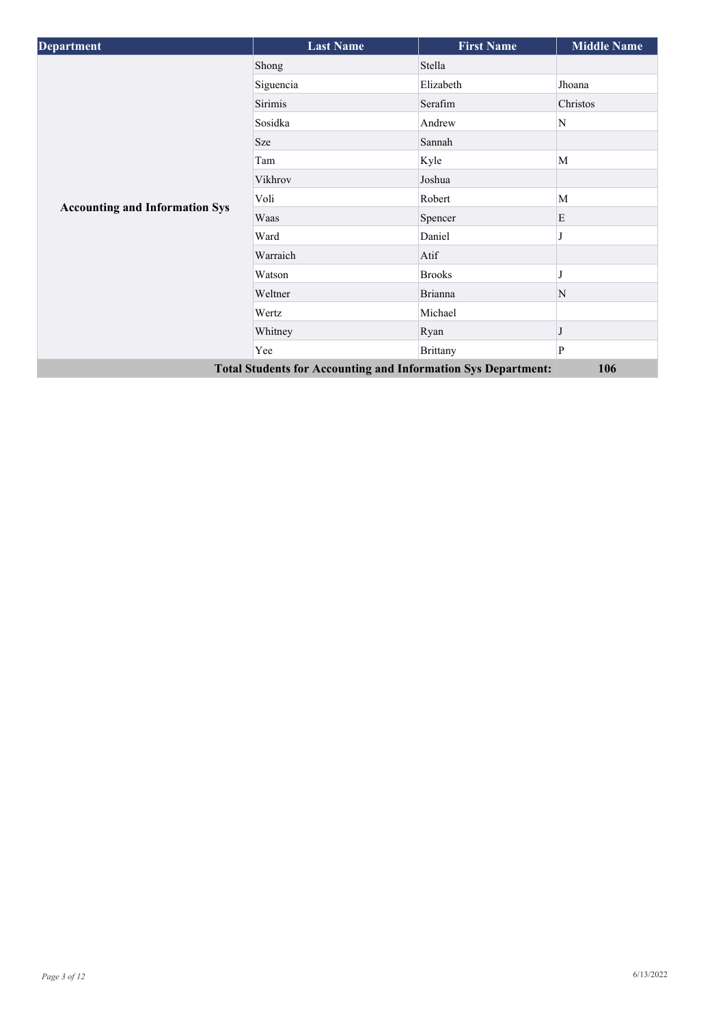| <b>Department</b>                     | <b>Last Name</b>                                                     | <b>First Name</b> | <b>Middle Name</b> |
|---------------------------------------|----------------------------------------------------------------------|-------------------|--------------------|
|                                       | Shong                                                                | Stella            |                    |
|                                       | Siguencia                                                            | Elizabeth         | Jhoana             |
|                                       | Sirimis                                                              | Serafim           | Christos           |
|                                       | Sosidka                                                              | Andrew            | N                  |
|                                       | Sze                                                                  | Sannah            |                    |
|                                       | Tam                                                                  | Kyle              | M                  |
|                                       | Vikhrov                                                              | Joshua            |                    |
|                                       | Voli                                                                 | Robert            | M                  |
| <b>Accounting and Information Sys</b> | Waas                                                                 | Spencer           | E                  |
|                                       | Ward                                                                 | Daniel            |                    |
|                                       | Warraich                                                             | Atif              |                    |
|                                       | Watson                                                               | <b>Brooks</b>     |                    |
|                                       | Weltner                                                              | <b>Brianna</b>    | N                  |
|                                       | Wertz                                                                | Michael           |                    |
|                                       | Whitney                                                              | Ryan              |                    |
|                                       | Yee                                                                  | <b>Brittany</b>   | P                  |
|                                       | <b>Total Students for Accounting and Information Sys Department:</b> |                   | 106                |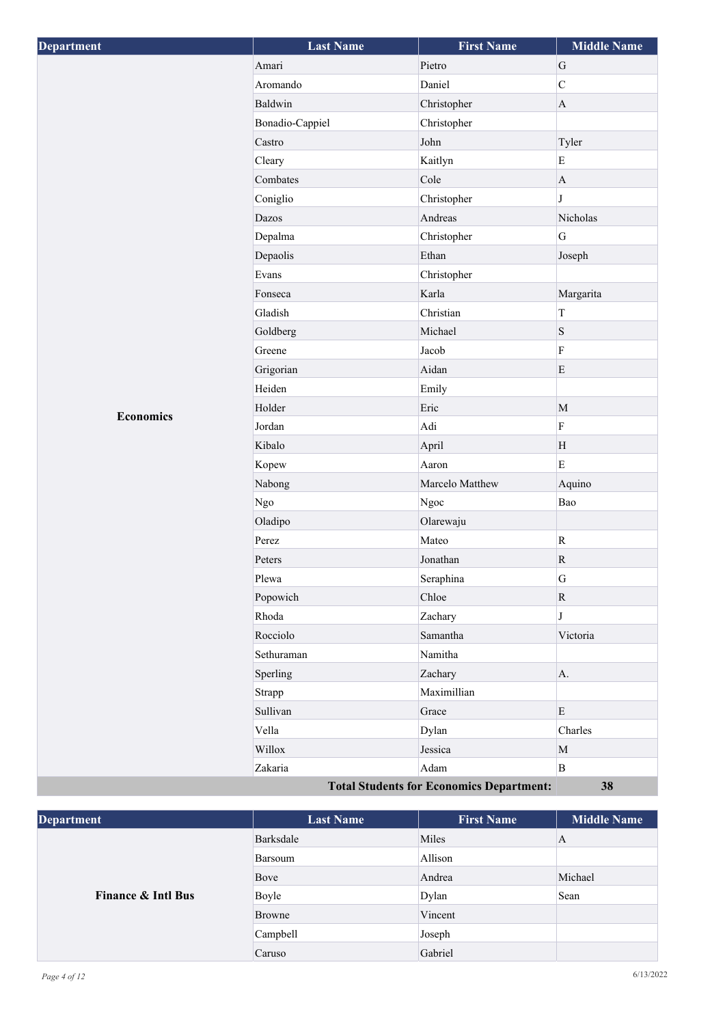| Department       | <b>Last Name</b> | <b>First Name</b>                               | <b>Middle Name</b> |
|------------------|------------------|-------------------------------------------------|--------------------|
|                  | Amari            | Pietro                                          | ${\bf G}$          |
|                  | Aromando         | Daniel                                          | $\mathbf C$        |
|                  | Baldwin          | Christopher                                     | $\mathbf{A}$       |
|                  | Bonadio-Cappiel  | Christopher                                     |                    |
|                  | Castro           | John                                            | Tyler              |
|                  | Cleary           | Kaitlyn                                         | $\mathbf E$        |
|                  | Combates         | Cole                                            | $\mathbf{A}$       |
|                  | Coniglio         | Christopher                                     | $\bf J$            |
|                  | Dazos            | Andreas                                         | Nicholas           |
|                  | Depalma          | Christopher                                     | $\mathbf G$        |
|                  | Depaolis         | Ethan                                           | Joseph             |
|                  | Evans            | Christopher                                     |                    |
|                  | Fonseca          | Karla                                           | Margarita          |
|                  | Gladish          | Christian                                       | $\rm T$            |
|                  | Goldberg         | Michael                                         | ${\bf S}$          |
|                  | Greene           | Jacob                                           | $\rm F$            |
|                  | Grigorian        | Aidan                                           | $\mathbf E$        |
|                  | Heiden           | Emily                                           |                    |
| <b>Economics</b> | Holder           | Eric                                            | $\mathbf M$        |
|                  | Jordan           | Adi                                             | $\rm F$            |
|                  | Kibalo           | April                                           | H                  |
|                  | Kopew            | Aaron                                           | $\mathbf E$        |
|                  | Nabong           | Marcelo Matthew                                 | Aquino             |
|                  | Ngo              | Ngoc                                            | Bao                |
|                  | Oladipo          | Olarewaju                                       |                    |
|                  | Perez            | Mateo                                           | $\mathbf R$        |
|                  | Peters           | Jonathan                                        | $\mathbf R$        |
|                  | Plewa            | Seraphina                                       | ${\bf G}$          |
|                  | Popowich         | Chloe                                           | $\mathbf R$        |
|                  | Rhoda            | Zachary                                         | J                  |
|                  | Rocciolo         | Samantha                                        | Victoria           |
|                  | Sethuraman       | Namitha                                         |                    |
|                  | Sperling         | Zachary                                         | A.                 |
|                  | Strapp           | Maximillian                                     |                    |
|                  | Sullivan         | Grace                                           | ${\bf E}$          |
|                  | Vella            | Dylan                                           | Charles            |
|                  | Willox           | Jessica                                         | $\mathbf M$        |
|                  | Zakaria          | Adam                                            | $\mathbf{B}$       |
|                  |                  | <b>Total Students for Economics Department:</b> | 38                 |

| <b>Department</b>             | <b>Last Name</b> | <b>First Name</b> | <b>Middle Name</b> |
|-------------------------------|------------------|-------------------|--------------------|
| <b>Finance &amp; Intl Bus</b> | Barksdale        | Miles             | А                  |
|                               | Barsoum          | Allison           |                    |
|                               | Bove             | Andrea            | Michael            |
|                               | Boyle            | Dylan             | Sean               |
|                               | Browne           | Vincent           |                    |
|                               | Campbell         | Joseph            |                    |
|                               | Caruso           | Gabriel           |                    |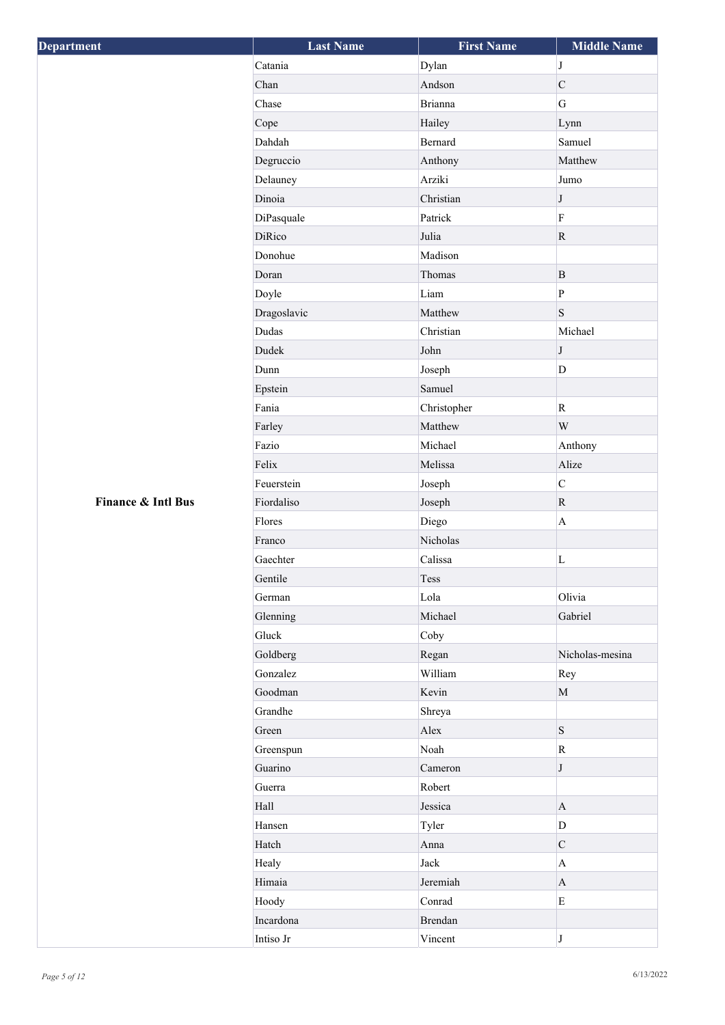| <b>Department</b>  | <b>Last Name</b> | <b>First Name</b> | <b>Middle Name</b> |
|--------------------|------------------|-------------------|--------------------|
|                    | Catania          | Dylan             | $\bf J$            |
|                    | Chan             | Andson            | $\mathbf C$        |
|                    | Chase            | <b>Brianna</b>    | $\overline{G}$     |
|                    | Cope             | Hailey            | Lynn               |
|                    | Dahdah           | <b>Bernard</b>    | Samuel             |
|                    | Degruccio        | Anthony           | Matthew            |
|                    | Delauney         | Arziki            | Jumo               |
|                    | Dinoia           | Christian         | $\bf J$            |
|                    | DiPasquale       | Patrick           | $\rm F$            |
|                    | DiRico           | Julia             | ${\bf R}$          |
|                    | Donohue          | Madison           |                    |
|                    | Doran            | Thomas            | $\mathbf B$        |
|                    | Doyle            | Liam              | $\, {\bf p}$       |
|                    | Dragoslavic      | Matthew           | S                  |
|                    | Dudas            | Christian         | Michael            |
|                    | Dudek            | John              | $\bf J$            |
|                    | Dunn             | Joseph            | D                  |
|                    | Epstein          | Samuel            |                    |
|                    | Fania            | Christopher       | $\mathbf R$        |
|                    | Farley           | Matthew           | W                  |
|                    | Fazio            | Michael           | Anthony            |
|                    | Felix            | Melissa           | Alize              |
|                    | Feuerstein       | Joseph            | $\overline{C}$     |
| Finance & Intl Bus | Fiordaliso       | Joseph            | $\mathbf R$        |
|                    | Flores           | Diego             | $\mathbf{A}$       |
|                    | Franco           | Nicholas          |                    |
|                    | Gaechter         | Calissa           | $\mathbf L$        |
|                    | Gentile          | Tess              |                    |
|                    | German           | Lola              | Olivia             |
|                    | Glenning         | Michael           | Gabriel            |
|                    | Gluck            | Coby              |                    |
|                    | Goldberg         | Regan             | Nicholas-mesina    |
|                    | Gonzalez         | William           | Rey                |
|                    | Goodman          | Kevin             | $\mathbf M$        |
|                    | Grandhe          | Shreya            |                    |
|                    | Green            | Alex              | S                  |
|                    | Greenspun        | Noah              | $\rm R$            |
|                    | Guarino          | Cameron           | $\bf J$            |
|                    | Guerra           | Robert            |                    |
|                    | Hall             | Jessica           | $\mathbf{A}$       |
|                    | Hansen           | Tyler             | $\mathbf D$        |
|                    | Hatch            | Anna              | $\mathbf C$        |
|                    | Healy            | Jack              | $\mathbf{A}$       |
|                    | Himaia           | Jeremiah          | $\mathbf{A}$       |
|                    | Hoody            | Conrad            | $\mathbf E$        |
|                    | Incardona        | Brendan           |                    |
|                    | Intiso Jr        | Vincent           | $\bf J$            |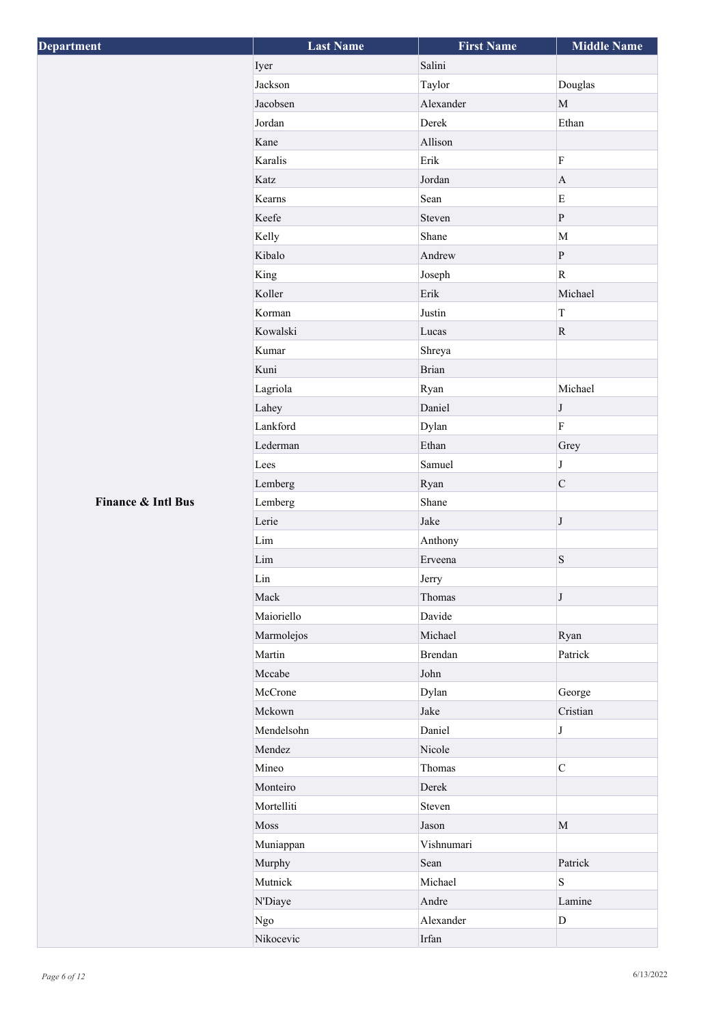| Salini<br>Iyer<br>Jackson<br>Taylor<br>Douglas<br>Alexander<br>$\mathbf{M}$<br>Jacobsen<br>Jordan<br>Derek<br>Ethan<br>Allison<br>Kane<br>Erik<br>$\rm F$<br>Karalis<br>Jordan<br>Katz<br>$\mathbf{A}$<br>Sean<br>${\bf E}$<br>Kearns<br>$\, {\bf p}$<br>Keefe<br>Steven<br>Shane<br>$\mathbf M$<br>Kelly<br>Andrew<br>Kibalo<br>$\, {\bf P}$<br>$\rm R$<br>King<br>Joseph<br>Erik<br>Michael<br>Koller<br>Justin<br>$\mathbf T$<br>Korman<br>Kowalski<br>$\mathbf R$<br>Lucas<br>Kumar<br>Shreya<br><b>Brian</b><br>Kuni<br>Lagriola<br>Michael<br>Ryan<br>Lahey<br>Daniel<br>$\bf J$<br>$\rm F$<br>Lankford<br>Dylan<br>Ethan<br>Lederman<br>Grey<br>J<br>Samuel<br>Lees<br>$\mathbf C$<br>Lemberg<br>Ryan<br>Finance & Intl Bus<br>Shane<br>Lemberg<br>Jake<br>Lerie<br>$\bf J$<br>$\mathop{\rm Lim}$<br>Anthony<br>${\bf S}$<br>$\mathop{\rm Lim}$<br>Erveena<br>$\mathop{\rm Lin}\nolimits$<br>Jerry<br>Mack<br>Thomas<br>J<br>Davide<br>Maioriello<br>Marmolejos<br>Michael<br>Ryan<br><b>Brendan</b><br>Martin<br>Patrick<br>John<br>Mccabe<br>McCrone<br>Dylan<br>George<br>Mckown<br>Cristian<br>Jake<br>Daniel<br>Mendelsohn<br>$\bf J$<br>Nicole<br>Mendez<br>$\mathbf C$<br>Mineo<br>Thomas<br>Monteiro<br>Derek<br>Mortelliti<br>Steven<br>Moss<br>$\mathbf M$<br>Jason<br>Vishnumari<br>Muniappan<br>Murphy<br>Sean<br>Patrick<br>S<br>Mutnick<br>Michael<br>Andre<br>Lamine<br>N'Diaye<br>Alexander<br>Ngo<br>$\mathbf{D}$<br>Nikocevic<br>$Irfan$ | Department | <b>Last Name</b> | <b>First Name</b> | <b>Middle Name</b> |
|-------------------------------------------------------------------------------------------------------------------------------------------------------------------------------------------------------------------------------------------------------------------------------------------------------------------------------------------------------------------------------------------------------------------------------------------------------------------------------------------------------------------------------------------------------------------------------------------------------------------------------------------------------------------------------------------------------------------------------------------------------------------------------------------------------------------------------------------------------------------------------------------------------------------------------------------------------------------------------------------------------------------------------------------------------------------------------------------------------------------------------------------------------------------------------------------------------------------------------------------------------------------------------------------------------------------------------------------------------------------------------------------------------------------------------------------------------------------|------------|------------------|-------------------|--------------------|
|                                                                                                                                                                                                                                                                                                                                                                                                                                                                                                                                                                                                                                                                                                                                                                                                                                                                                                                                                                                                                                                                                                                                                                                                                                                                                                                                                                                                                                                                   |            |                  |                   |                    |
|                                                                                                                                                                                                                                                                                                                                                                                                                                                                                                                                                                                                                                                                                                                                                                                                                                                                                                                                                                                                                                                                                                                                                                                                                                                                                                                                                                                                                                                                   |            |                  |                   |                    |
|                                                                                                                                                                                                                                                                                                                                                                                                                                                                                                                                                                                                                                                                                                                                                                                                                                                                                                                                                                                                                                                                                                                                                                                                                                                                                                                                                                                                                                                                   |            |                  |                   |                    |
|                                                                                                                                                                                                                                                                                                                                                                                                                                                                                                                                                                                                                                                                                                                                                                                                                                                                                                                                                                                                                                                                                                                                                                                                                                                                                                                                                                                                                                                                   |            |                  |                   |                    |
|                                                                                                                                                                                                                                                                                                                                                                                                                                                                                                                                                                                                                                                                                                                                                                                                                                                                                                                                                                                                                                                                                                                                                                                                                                                                                                                                                                                                                                                                   |            |                  |                   |                    |
|                                                                                                                                                                                                                                                                                                                                                                                                                                                                                                                                                                                                                                                                                                                                                                                                                                                                                                                                                                                                                                                                                                                                                                                                                                                                                                                                                                                                                                                                   |            |                  |                   |                    |
|                                                                                                                                                                                                                                                                                                                                                                                                                                                                                                                                                                                                                                                                                                                                                                                                                                                                                                                                                                                                                                                                                                                                                                                                                                                                                                                                                                                                                                                                   |            |                  |                   |                    |
|                                                                                                                                                                                                                                                                                                                                                                                                                                                                                                                                                                                                                                                                                                                                                                                                                                                                                                                                                                                                                                                                                                                                                                                                                                                                                                                                                                                                                                                                   |            |                  |                   |                    |
|                                                                                                                                                                                                                                                                                                                                                                                                                                                                                                                                                                                                                                                                                                                                                                                                                                                                                                                                                                                                                                                                                                                                                                                                                                                                                                                                                                                                                                                                   |            |                  |                   |                    |
|                                                                                                                                                                                                                                                                                                                                                                                                                                                                                                                                                                                                                                                                                                                                                                                                                                                                                                                                                                                                                                                                                                                                                                                                                                                                                                                                                                                                                                                                   |            |                  |                   |                    |
|                                                                                                                                                                                                                                                                                                                                                                                                                                                                                                                                                                                                                                                                                                                                                                                                                                                                                                                                                                                                                                                                                                                                                                                                                                                                                                                                                                                                                                                                   |            |                  |                   |                    |
|                                                                                                                                                                                                                                                                                                                                                                                                                                                                                                                                                                                                                                                                                                                                                                                                                                                                                                                                                                                                                                                                                                                                                                                                                                                                                                                                                                                                                                                                   |            |                  |                   |                    |
|                                                                                                                                                                                                                                                                                                                                                                                                                                                                                                                                                                                                                                                                                                                                                                                                                                                                                                                                                                                                                                                                                                                                                                                                                                                                                                                                                                                                                                                                   |            |                  |                   |                    |
|                                                                                                                                                                                                                                                                                                                                                                                                                                                                                                                                                                                                                                                                                                                                                                                                                                                                                                                                                                                                                                                                                                                                                                                                                                                                                                                                                                                                                                                                   |            |                  |                   |                    |
|                                                                                                                                                                                                                                                                                                                                                                                                                                                                                                                                                                                                                                                                                                                                                                                                                                                                                                                                                                                                                                                                                                                                                                                                                                                                                                                                                                                                                                                                   |            |                  |                   |                    |
|                                                                                                                                                                                                                                                                                                                                                                                                                                                                                                                                                                                                                                                                                                                                                                                                                                                                                                                                                                                                                                                                                                                                                                                                                                                                                                                                                                                                                                                                   |            |                  |                   |                    |
|                                                                                                                                                                                                                                                                                                                                                                                                                                                                                                                                                                                                                                                                                                                                                                                                                                                                                                                                                                                                                                                                                                                                                                                                                                                                                                                                                                                                                                                                   |            |                  |                   |                    |
|                                                                                                                                                                                                                                                                                                                                                                                                                                                                                                                                                                                                                                                                                                                                                                                                                                                                                                                                                                                                                                                                                                                                                                                                                                                                                                                                                                                                                                                                   |            |                  |                   |                    |
|                                                                                                                                                                                                                                                                                                                                                                                                                                                                                                                                                                                                                                                                                                                                                                                                                                                                                                                                                                                                                                                                                                                                                                                                                                                                                                                                                                                                                                                                   |            |                  |                   |                    |
|                                                                                                                                                                                                                                                                                                                                                                                                                                                                                                                                                                                                                                                                                                                                                                                                                                                                                                                                                                                                                                                                                                                                                                                                                                                                                                                                                                                                                                                                   |            |                  |                   |                    |
|                                                                                                                                                                                                                                                                                                                                                                                                                                                                                                                                                                                                                                                                                                                                                                                                                                                                                                                                                                                                                                                                                                                                                                                                                                                                                                                                                                                                                                                                   |            |                  |                   |                    |
|                                                                                                                                                                                                                                                                                                                                                                                                                                                                                                                                                                                                                                                                                                                                                                                                                                                                                                                                                                                                                                                                                                                                                                                                                                                                                                                                                                                                                                                                   |            |                  |                   |                    |
|                                                                                                                                                                                                                                                                                                                                                                                                                                                                                                                                                                                                                                                                                                                                                                                                                                                                                                                                                                                                                                                                                                                                                                                                                                                                                                                                                                                                                                                                   |            |                  |                   |                    |
|                                                                                                                                                                                                                                                                                                                                                                                                                                                                                                                                                                                                                                                                                                                                                                                                                                                                                                                                                                                                                                                                                                                                                                                                                                                                                                                                                                                                                                                                   |            |                  |                   |                    |
|                                                                                                                                                                                                                                                                                                                                                                                                                                                                                                                                                                                                                                                                                                                                                                                                                                                                                                                                                                                                                                                                                                                                                                                                                                                                                                                                                                                                                                                                   |            |                  |                   |                    |
|                                                                                                                                                                                                                                                                                                                                                                                                                                                                                                                                                                                                                                                                                                                                                                                                                                                                                                                                                                                                                                                                                                                                                                                                                                                                                                                                                                                                                                                                   |            |                  |                   |                    |
|                                                                                                                                                                                                                                                                                                                                                                                                                                                                                                                                                                                                                                                                                                                                                                                                                                                                                                                                                                                                                                                                                                                                                                                                                                                                                                                                                                                                                                                                   |            |                  |                   |                    |
|                                                                                                                                                                                                                                                                                                                                                                                                                                                                                                                                                                                                                                                                                                                                                                                                                                                                                                                                                                                                                                                                                                                                                                                                                                                                                                                                                                                                                                                                   |            |                  |                   |                    |
|                                                                                                                                                                                                                                                                                                                                                                                                                                                                                                                                                                                                                                                                                                                                                                                                                                                                                                                                                                                                                                                                                                                                                                                                                                                                                                                                                                                                                                                                   |            |                  |                   |                    |
|                                                                                                                                                                                                                                                                                                                                                                                                                                                                                                                                                                                                                                                                                                                                                                                                                                                                                                                                                                                                                                                                                                                                                                                                                                                                                                                                                                                                                                                                   |            |                  |                   |                    |
|                                                                                                                                                                                                                                                                                                                                                                                                                                                                                                                                                                                                                                                                                                                                                                                                                                                                                                                                                                                                                                                                                                                                                                                                                                                                                                                                                                                                                                                                   |            |                  |                   |                    |
|                                                                                                                                                                                                                                                                                                                                                                                                                                                                                                                                                                                                                                                                                                                                                                                                                                                                                                                                                                                                                                                                                                                                                                                                                                                                                                                                                                                                                                                                   |            |                  |                   |                    |
|                                                                                                                                                                                                                                                                                                                                                                                                                                                                                                                                                                                                                                                                                                                                                                                                                                                                                                                                                                                                                                                                                                                                                                                                                                                                                                                                                                                                                                                                   |            |                  |                   |                    |
|                                                                                                                                                                                                                                                                                                                                                                                                                                                                                                                                                                                                                                                                                                                                                                                                                                                                                                                                                                                                                                                                                                                                                                                                                                                                                                                                                                                                                                                                   |            |                  |                   |                    |
|                                                                                                                                                                                                                                                                                                                                                                                                                                                                                                                                                                                                                                                                                                                                                                                                                                                                                                                                                                                                                                                                                                                                                                                                                                                                                                                                                                                                                                                                   |            |                  |                   |                    |
|                                                                                                                                                                                                                                                                                                                                                                                                                                                                                                                                                                                                                                                                                                                                                                                                                                                                                                                                                                                                                                                                                                                                                                                                                                                                                                                                                                                                                                                                   |            |                  |                   |                    |
|                                                                                                                                                                                                                                                                                                                                                                                                                                                                                                                                                                                                                                                                                                                                                                                                                                                                                                                                                                                                                                                                                                                                                                                                                                                                                                                                                                                                                                                                   |            |                  |                   |                    |
|                                                                                                                                                                                                                                                                                                                                                                                                                                                                                                                                                                                                                                                                                                                                                                                                                                                                                                                                                                                                                                                                                                                                                                                                                                                                                                                                                                                                                                                                   |            |                  |                   |                    |
|                                                                                                                                                                                                                                                                                                                                                                                                                                                                                                                                                                                                                                                                                                                                                                                                                                                                                                                                                                                                                                                                                                                                                                                                                                                                                                                                                                                                                                                                   |            |                  |                   |                    |
|                                                                                                                                                                                                                                                                                                                                                                                                                                                                                                                                                                                                                                                                                                                                                                                                                                                                                                                                                                                                                                                                                                                                                                                                                                                                                                                                                                                                                                                                   |            |                  |                   |                    |
|                                                                                                                                                                                                                                                                                                                                                                                                                                                                                                                                                                                                                                                                                                                                                                                                                                                                                                                                                                                                                                                                                                                                                                                                                                                                                                                                                                                                                                                                   |            |                  |                   |                    |
|                                                                                                                                                                                                                                                                                                                                                                                                                                                                                                                                                                                                                                                                                                                                                                                                                                                                                                                                                                                                                                                                                                                                                                                                                                                                                                                                                                                                                                                                   |            |                  |                   |                    |
|                                                                                                                                                                                                                                                                                                                                                                                                                                                                                                                                                                                                                                                                                                                                                                                                                                                                                                                                                                                                                                                                                                                                                                                                                                                                                                                                                                                                                                                                   |            |                  |                   |                    |
|                                                                                                                                                                                                                                                                                                                                                                                                                                                                                                                                                                                                                                                                                                                                                                                                                                                                                                                                                                                                                                                                                                                                                                                                                                                                                                                                                                                                                                                                   |            |                  |                   |                    |
|                                                                                                                                                                                                                                                                                                                                                                                                                                                                                                                                                                                                                                                                                                                                                                                                                                                                                                                                                                                                                                                                                                                                                                                                                                                                                                                                                                                                                                                                   |            |                  |                   |                    |
|                                                                                                                                                                                                                                                                                                                                                                                                                                                                                                                                                                                                                                                                                                                                                                                                                                                                                                                                                                                                                                                                                                                                                                                                                                                                                                                                                                                                                                                                   |            |                  |                   |                    |
|                                                                                                                                                                                                                                                                                                                                                                                                                                                                                                                                                                                                                                                                                                                                                                                                                                                                                                                                                                                                                                                                                                                                                                                                                                                                                                                                                                                                                                                                   |            |                  |                   |                    |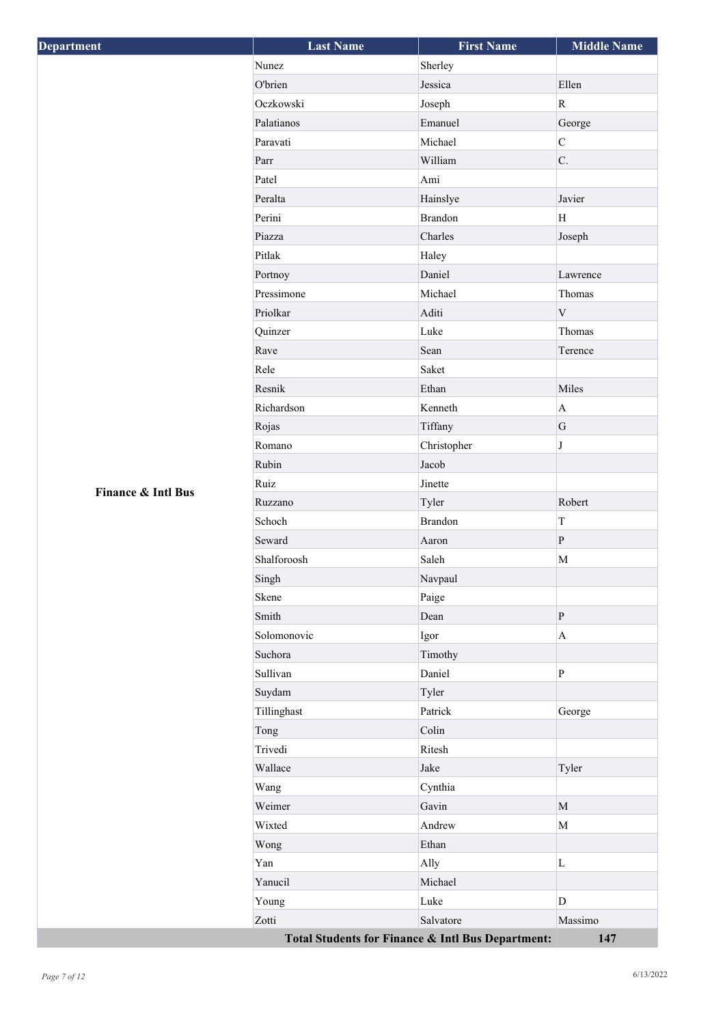| <b>Department</b>  | <b>Last Name</b>                                  | <b>First Name</b> | <b>Middle Name</b> |
|--------------------|---------------------------------------------------|-------------------|--------------------|
|                    | Nunez                                             | Sherley           |                    |
|                    | O'brien                                           | Jessica           | Ellen              |
|                    | Oczkowski                                         | Joseph            | ${\bf R}$          |
|                    | Palatianos                                        | Emanuel           | George             |
|                    | Paravati                                          | Michael           | $\mathbf C$        |
|                    | Parr                                              | William           | C.                 |
|                    | Patel                                             | Ami               |                    |
|                    | Peralta                                           | Hainslye          | Javier             |
|                    | Perini                                            | <b>Brandon</b>    | H                  |
|                    | Piazza                                            | Charles           | Joseph             |
|                    | Pitlak                                            | Haley             |                    |
|                    | Portnoy                                           | Daniel            | Lawrence           |
|                    | Pressimone                                        | Michael           | Thomas             |
|                    | Priolkar                                          | Aditi             | $\mathbf V$        |
|                    | Quinzer                                           | Luke              | Thomas             |
|                    | Rave                                              | Sean              | Terence            |
|                    | Rele                                              | Saket             |                    |
|                    | Resnik                                            | Ethan             | Miles              |
|                    | Richardson                                        | Kenneth           | $\mathbf A$        |
|                    | Rojas                                             | Tiffany           | G                  |
|                    | Romano                                            | Christopher       | $\bf J$            |
|                    | Rubin                                             | Jacob             |                    |
| Finance & Intl Bus | Ruiz                                              | Jinette           |                    |
|                    | Ruzzano                                           | Tyler             | Robert             |
|                    | Schoch                                            | <b>Brandon</b>    | T                  |
|                    | Seward                                            | Aaron             | $\, {\bf P}$       |
|                    | Shalforoosh                                       | Saleh             | M                  |
|                    | Singh                                             | Navpaul           |                    |
|                    | Skene                                             | Paige             |                    |
|                    | Smith                                             | Dean              | $\, {\bf P}$       |
|                    | Solomonovic                                       | Igor              | $\mathbf A$        |
|                    | Suchora                                           | Timothy           |                    |
|                    | Sullivan                                          | Daniel            | $\mathbf{P}$       |
|                    | Suydam                                            | Tyler             |                    |
|                    | Tillinghast                                       | Patrick           | George             |
|                    | Tong                                              | Colin             |                    |
|                    | Trivedi                                           | Ritesh            |                    |
|                    | Wallace                                           | Jake              | Tyler              |
|                    | Wang                                              | Cynthia           |                    |
|                    | Weimer                                            | Gavin             | $\mathbf{M}$       |
|                    | Wixted                                            | Andrew            | $\mathbf M$        |
|                    | Wong                                              | Ethan             |                    |
|                    | Yan                                               | Ally              | $\mathbf L$        |
|                    | Yanucil                                           | Michael           |                    |
|                    | Young                                             | Luke              | D                  |
|                    | Zotti                                             | Salvatore         | Massimo            |
|                    | Total Students for Finance & Intl Bus Department: |                   | 147                |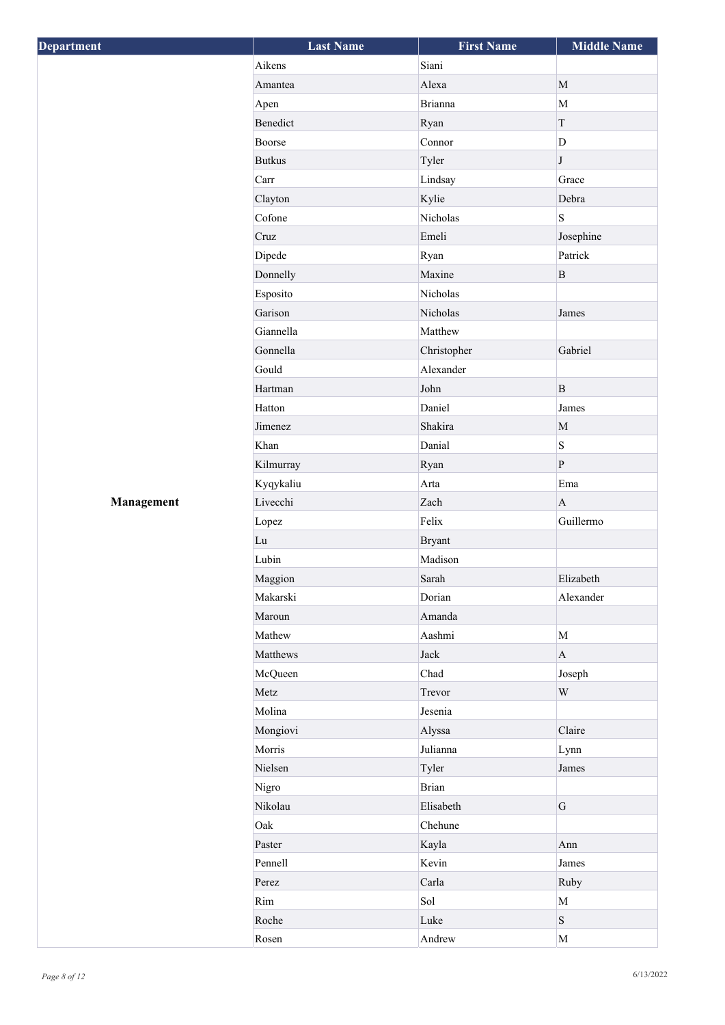| Department | <b>Last Name</b> | <b>First Name</b> | <b>Middle Name</b> |
|------------|------------------|-------------------|--------------------|
|            | Aikens           | Siani             |                    |
|            | Amantea          | Alexa             | $\mathbf M$        |
|            | Apen             | <b>Brianna</b>    | $\mathbf M$        |
|            | Benedict         | Ryan              | T                  |
|            | Boorse           | Connor            | D                  |
|            | <b>Butkus</b>    | Tyler             | $\bf J$            |
|            | Carr             | Lindsay           | Grace              |
|            | Clayton          | Kylie             | Debra              |
|            | Cofone           | Nicholas          | $\, {\bf S}$       |
|            | Cruz             | Emeli             | Josephine          |
|            | Dipede           | Ryan              | Patrick            |
|            | Donnelly         | Maxine            | B                  |
|            | Esposito         | Nicholas          |                    |
|            | Garison          | Nicholas          | James              |
|            | Giannella        | Matthew           |                    |
|            | Gonnella         | Christopher       | Gabriel            |
|            | Gould            | Alexander         |                    |
|            | Hartman          | John              | B                  |
|            | Hatton           | Daniel            | James              |
|            | Jimenez          | Shakira           | $\mathbf M$        |
|            | Khan             | Danial            | S                  |
|            | Kilmurray        | Ryan              | $\vert$ P          |
|            | Kyqykaliu        | Arta              | Ema                |
| Management | Livecchi         | Zach              | $\mathbf{A}$       |
|            | Lopez            | Felix             | Guillermo          |
|            | Lu               | <b>Bryant</b>     |                    |
|            | Lubin            | Madison           |                    |
|            | Maggion          | Sarah             | Elizabeth          |
|            | Makarski         | Dorian            | Alexander          |
|            | Maroun           | Amanda            |                    |
|            | Mathew           | Aashmi            | $\mathbf M$        |
|            |                  |                   |                    |
|            | Matthews         | Jack<br>Chad      | $\mathbf{A}$       |
|            | McQueen          |                   | Joseph             |
|            | Metz             | Trevor            | $\mathbf W$        |
|            | Molina           | Jesenia           |                    |
|            | Mongiovi         | Alyssa            | Claire             |
|            | Morris           | Julianna          | Lynn               |
|            | Nielsen          | Tyler             | James              |
|            | Nigro            | <b>Brian</b>      |                    |
|            | Nikolau          | Elisabeth         | G                  |
|            | Oak              | Chehune           |                    |
|            | Paster           | Kayla             | Ann                |
|            | Pennell          | Kevin             | James              |
|            | Perez            | Carla             | Ruby               |
|            | Rim              | Sol               | $\mathbf M$        |
|            | Roche            | Luke              | S                  |
|            | Rosen            | Andrew            | $\mathbf M$        |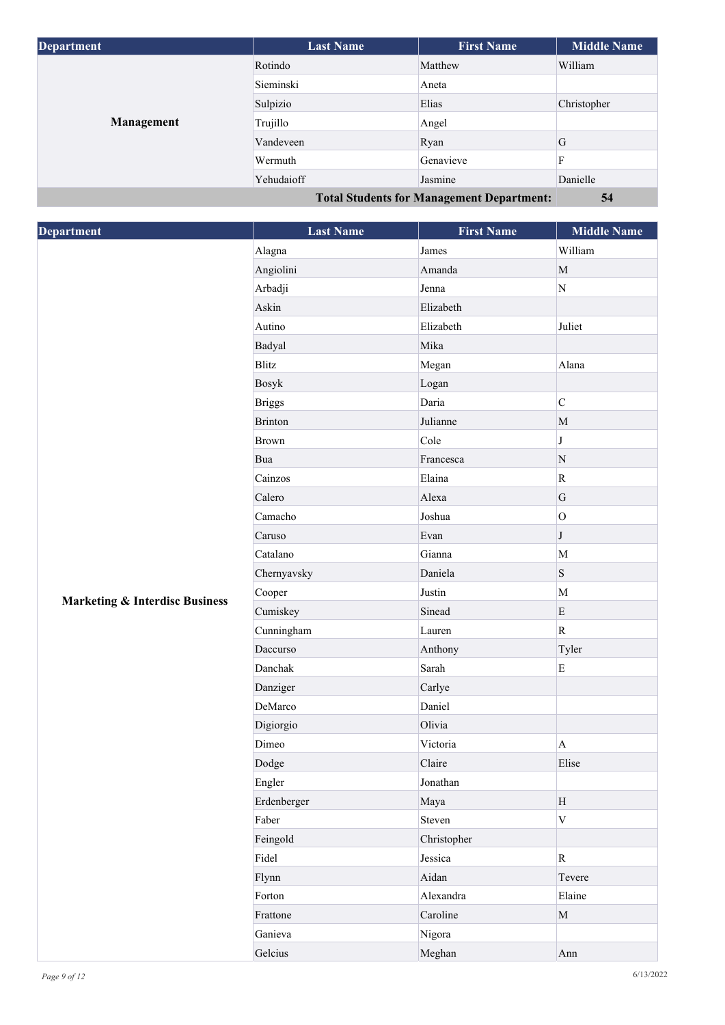| <b>Department</b> | <b>Last Name</b> | <b>First Name</b>                                | <b>Middle Name</b> |
|-------------------|------------------|--------------------------------------------------|--------------------|
| Management        | Rotindo          | Matthew                                          | William            |
|                   | Sieminski        | Aneta                                            |                    |
|                   | Sulpizio         | Elias                                            | Christopher        |
|                   | Trujillo         | Angel                                            |                    |
|                   | Vandeveen        | Ryan                                             | G                  |
|                   | Wermuth          | Genavieve                                        | F                  |
|                   | Yehudaioff       | Jasmine                                          | Danielle           |
|                   |                  | <b>Total Students for Management Department:</b> | 54                 |

| <b>Department</b>                         | <b>Last Name</b> | <b>First Name</b> | <b>Middle Name</b>        |
|-------------------------------------------|------------------|-------------------|---------------------------|
|                                           | Alagna           | James             | William                   |
|                                           | Angiolini        | Amanda            | $\mathbf M$               |
|                                           | Arbadji          | Jenna             | $\mathbf N$               |
|                                           | Askin            | Elizabeth         |                           |
|                                           | Autino           | Elizabeth         | Juliet                    |
|                                           | Badyal           | Mika              |                           |
|                                           | Blitz            | Megan             | Alana                     |
|                                           | <b>Bosyk</b>     | Logan             |                           |
|                                           | <b>Briggs</b>    | Daria             | $\mathsf{C}$              |
|                                           | <b>Brinton</b>   | Julianne          | $\mathbf{M}$              |
|                                           | <b>Brown</b>     | Cole              | $\bf J$                   |
|                                           | Bua              | Francesca         | ${\bf N}$                 |
|                                           | Cainzos          | Elaina            | ${\bf R}$                 |
|                                           | Calero           | Alexa             | ${\bf G}$                 |
|                                           | Camacho          | Joshua            | $\overline{O}$            |
|                                           | Caruso           | Evan              | $\bf J$                   |
|                                           | Catalano         | Gianna            | M                         |
|                                           | Chernyavsky      | Daniela           | $\, {\bf S}$              |
|                                           | Cooper           | Justin            | M                         |
| <b>Marketing &amp; Interdisc Business</b> | Cumiskey         | Sinead            | $\mathbf E$               |
|                                           | Cunningham       | Lauren            | ${\bf R}$                 |
|                                           | Daccurso         | Anthony           | Tyler                     |
|                                           | Danchak          | Sarah             | ${\bf E}$                 |
|                                           | Danziger         | Carlye            |                           |
|                                           | DeMarco          | Daniel            |                           |
|                                           | Digiorgio        | Olivia            |                           |
|                                           | Dimeo            | Victoria          | $\boldsymbol{\mathsf{A}}$ |
|                                           | Dodge            | Claire            | Elise                     |
|                                           | Engler           | Jonathan          |                           |
|                                           | Erdenberger      | Maya              | H                         |
|                                           | Faber            | Steven            | $\mathbf V$               |
|                                           | Feingold         | Christopher       |                           |
|                                           | Fidel            | Jessica           | $\mathbf R$               |
|                                           | Flynn            | Aidan             | Tevere                    |
|                                           | Forton           | Alexandra         | Elaine                    |
|                                           | Frattone         | Caroline          | $\mathbf{M}$              |
|                                           | Ganieva          | Nigora            |                           |
|                                           | Gelcius          | Meghan            | Ann                       |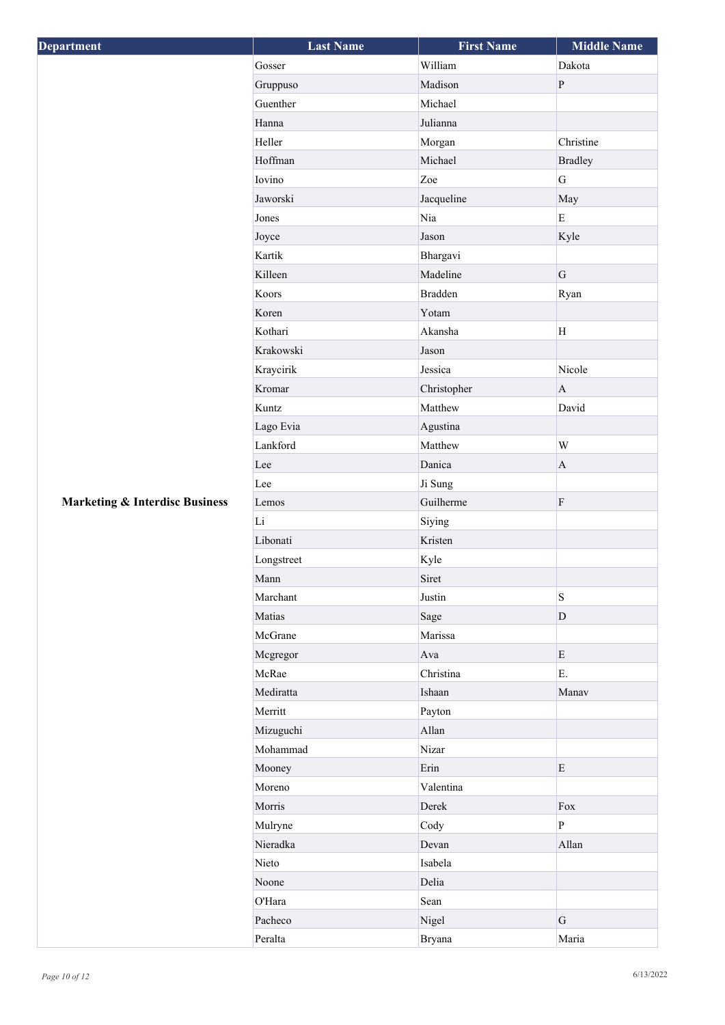| Department                                | <b>Last Name</b> | <b>First Name</b> | <b>Middle Name</b> |
|-------------------------------------------|------------------|-------------------|--------------------|
|                                           | Gosser           | William           | Dakota             |
|                                           | Gruppuso         | Madison           | ${\bf P}$          |
|                                           | Guenther         | Michael           |                    |
|                                           | Hanna            | Julianna          |                    |
|                                           | Heller           | Morgan            | Christine          |
|                                           | Hoffman          | Michael           | <b>Bradley</b>     |
|                                           | Iovino           | Zoe               | G                  |
|                                           | Jaworski         | Jacqueline        | May                |
|                                           | Jones            | Nia               | $\mathbf E$        |
|                                           | Joyce            | Jason             | Kyle               |
|                                           | Kartik           | Bhargavi          |                    |
|                                           | Killeen          | Madeline          | G                  |
|                                           | Koors            | <b>Bradden</b>    | Ryan               |
|                                           | Koren            | Yotam             |                    |
|                                           | Kothari          | Akansha           | H                  |
|                                           | Krakowski        | Jason             |                    |
|                                           | Kraycirik        | Jessica           | Nicole             |
|                                           | Kromar           | Christopher       | $\mathbf{A}$       |
|                                           | Kuntz            | Matthew           | David              |
|                                           | Lago Evia        | Agustina          |                    |
|                                           | Lankford         | Matthew           | $\mathbf W$        |
|                                           | Lee              | Danica            | $\mathbf A$        |
|                                           | Lee              | Ji Sung           |                    |
| <b>Marketing &amp; Interdisc Business</b> | Lemos            | Guilherme         | ${\bf F}$          |
|                                           | Li               | Siying            |                    |
|                                           | Libonati         | Kristen           |                    |
|                                           | Longstreet       | Kyle              |                    |
|                                           | Mann             | Siret             |                    |
|                                           | Marchant         | Justin            | $\, {\bf S}$       |
|                                           | Matias           | Sage              | $\mathbf D$        |
|                                           | McGrane          | Marissa           |                    |
|                                           | Mcgregor         | Ava               | $\mathbf E$        |
|                                           | McRae            | Christina         | E.                 |
|                                           | Mediratta        | Ishaan            | Manav              |
|                                           | Merritt          | Payton            |                    |
|                                           | Mizuguchi        | Allan             |                    |
|                                           | Mohammad         | Nizar             |                    |
|                                           | Mooney           | Erin              | E                  |
|                                           | Moreno           | Valentina         |                    |
|                                           | Morris           | Derek             | Fox                |
|                                           | Mulryne          | Cody              | $\mathbf{P}$       |
|                                           | Nieradka         | Devan             | Allan              |
|                                           | Nieto            | Isabela           |                    |
|                                           | Noone            | Delia             |                    |
|                                           | O'Hara           | Sean              |                    |
|                                           | Pacheco          | Nigel             | $\mathbf G$        |
|                                           | Peralta          | <b>Bryana</b>     | Maria              |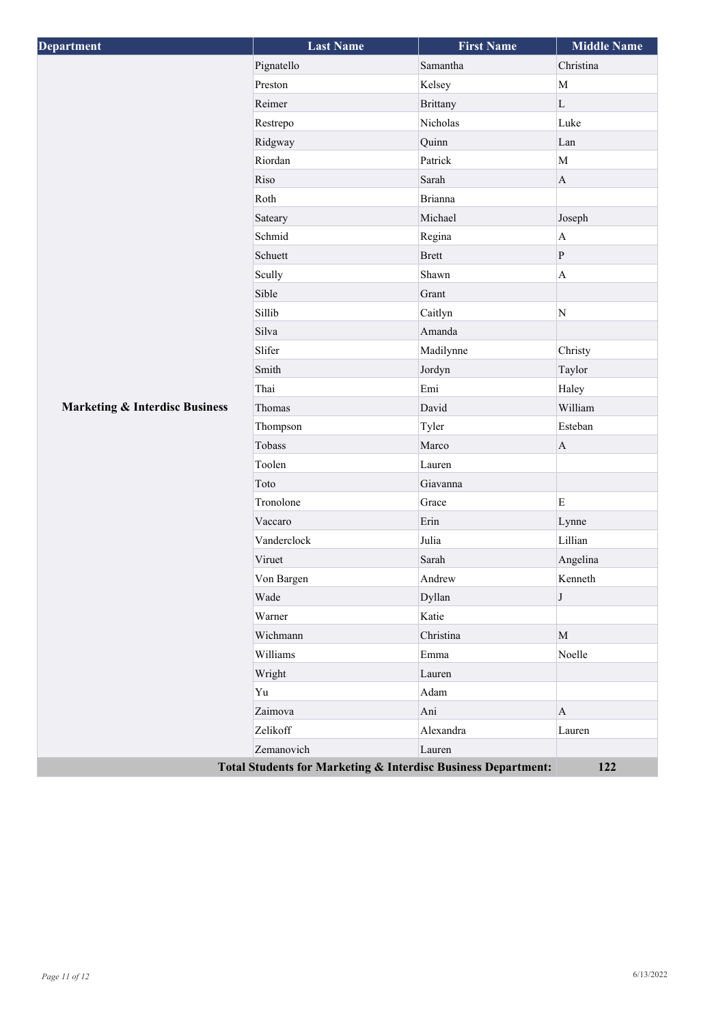| Department                                                    | <b>Last Name</b> | <b>First Name</b> | <b>Middle Name</b> |
|---------------------------------------------------------------|------------------|-------------------|--------------------|
| <b>Marketing &amp; Interdisc Business</b>                     | Pignatello       | Samantha          | Christina          |
|                                                               | Preston          | Kelsey            | $\mathbf M$        |
|                                                               | Reimer           | <b>Brittany</b>   | $\mathbf L$        |
|                                                               | Restrepo         | Nicholas          | Luke               |
|                                                               | Ridgway          | Quinn             | Lan                |
|                                                               | Riordan          | Patrick           | $\mathbf M$        |
|                                                               | Riso             | Sarah             | $\mathbf{A}$       |
|                                                               | Roth             | Brianna           |                    |
|                                                               | Sateary          | Michael           | Joseph             |
|                                                               | Schmid           | Regina            | $\mathbf A$        |
|                                                               | Schuett          | <b>Brett</b>      | ${\bf P}$          |
|                                                               | Scully           | Shawn             | $\mathbf A$        |
|                                                               | Sible            | Grant             |                    |
|                                                               | Sillib           | Caitlyn           | $\overline{N}$     |
|                                                               | Silva            | Amanda            |                    |
|                                                               | Slifer           | Madilynne         | Christy            |
|                                                               | Smith            | Jordyn            | Taylor             |
|                                                               | Thai             | Emi               | Haley              |
|                                                               | Thomas           | David             | William            |
|                                                               | Thompson         | Tyler             | Esteban            |
|                                                               | Tobass           | Marco             | $\mathbf{A}$       |
|                                                               | Toolen           | Lauren            |                    |
|                                                               | Toto             | Giavanna          |                    |
|                                                               | Tronolone        | Grace             | ${\bf E}$          |
|                                                               | Vaccaro          | Erin              | Lynne              |
|                                                               | Vanderclock      | Julia             | Lillian            |
|                                                               | Viruet           | Sarah             | Angelina           |
|                                                               | Von Bargen       | Andrew            | Kenneth            |
|                                                               | Wade             | Dyllan            | J                  |
|                                                               | Warner           | Katie             |                    |
|                                                               | Wichmann         | Christina         | $\mathbf M$        |
|                                                               | Williams         | Emma              | Noelle             |
|                                                               | Wright           | Lauren            |                    |
|                                                               | Yu               | Adam              |                    |
|                                                               | Zaimova          | Ani               | $\mathbf{A}$       |
|                                                               | Zelikoff         | Alexandra         | Lauren             |
|                                                               | Zemanovich       | Lauren            |                    |
| Total Students for Marketing & Interdisc Business Department: |                  |                   | 122                |